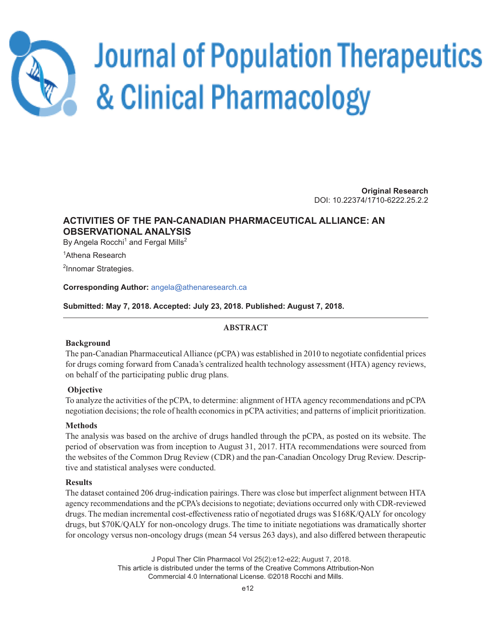

# **Journal of Population Therapeutics** & Clinical Pharmacology

**Original Research** DOI: 10.22374/1710-6222.25.2.2

# **ACTIVITIES OF THE PAN-CANADIAN PHARMACEUTICAL ALLIANCE: AN OBSERVATIONAL ANALYSIS**

By Angela Rocchi<sup>1</sup> and Fergal Mills<sup>2</sup>

<sup>1</sup>Athena Research

<sup>2</sup>Innomar Strategies.

**Corresponding Author:** angela@athenaresearch.ca

**Submitted: May 7, 2018. Accepted: July 23, 2018. Published: August 7, 2018.**

# **ABSTRACT**

# **Background**

The pan-Canadian Pharmaceutical Alliance (pCPA) was established in 2010 to negotiate confidential prices for drugs coming forward from Canada's centralized health technology assessment (HTA) agency reviews, on behalf of the participating public drug plans.

# **Objective**

To analyze the activities of the pCPA, to determine: alignment of HTA agency recommendations and pCPA negotiation decisions; the role of health economics in pCPA activities; and patterns of implicit prioritization.

# **Methods**

The analysis was based on the archive of drugs handled through the pCPA, as posted on its website. The period of observation was from inception to August 31, 2017. HTA recommendations were sourced from the websites of the Common Drug Review (CDR) and the pan-Canadian Oncology Drug Review. Descriptive and statistical analyses were conducted.

# **Results**

The dataset contained 206 drug-indication pairings. There was close but imperfect alignment between HTA agency recommendations and the pCPA's decisions to negotiate; deviations occurred only with CDR-reviewed drugs. The median incremental cost-effectiveness ratio of negotiated drugs was \$168K/QALY for oncology drugs, but \$70K/QALY for non-oncology drugs. The time to initiate negotiations was dramatically shorter for oncology versus non-oncology drugs (mean 54 versus 263 days), and also differed between therapeutic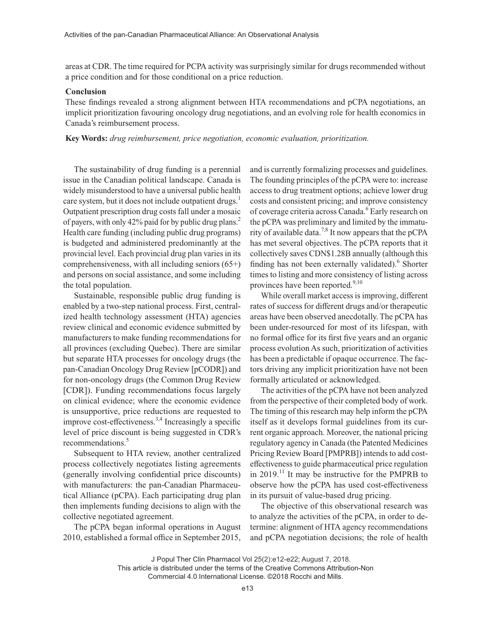areas at CDR. The time required for PCPA activity was surprisingly similar for drugs recommended without a price condition and for those conditional on a price reduction.

#### **Conclusion**

These findings revealed a strong alignment between HTA recommendations and pCPA negotiations, an implicit prioritization favouring oncology drug negotiations, and an evolving role for health economics in Canada's reimbursement process.

**Key Words:** *drug reimbursement, price negotiation, economic evaluation, prioritization.*

The sustainability of drug funding is a perennial issue in the Canadian political landscape. Canada is widely misunderstood to have a universal public health care system, but it does not include outpatient drugs.<sup>1</sup> Outpatient prescription drug costs fall under a mosaic of payers, with only 42% paid for by public drug plans.<sup>2</sup> Health care funding (including public drug programs) is budgeted and administered predominantly at the provincial level. Each provincial drug plan varies in its comprehensiveness, with all including seniors (65+) and persons on social assistance, and some including the total population.

Sustainable, responsible public drug funding is enabled by a two-step national process. First, centralized health technology assessment (HTA) agencies review clinical and economic evidence submitted by manufacturers to make funding recommendations for all provinces (excluding Quebec). There are similar but separate HTA processes for oncology drugs (the pan-Canadian Oncology Drug Review [pCODR]) and for non-oncology drugs (the Common Drug Review [CDR]). Funding recommendations focus largely on clinical evidence; where the economic evidence is unsupportive, price reductions are requested to improve cost-effectiveness.<sup>3,4</sup> Increasingly a specific level of price discount is being suggested in CDR's recommendations.<sup>5</sup>

Subsequent to HTA review, another centralized process collectively negotiates listing agreements (generally involving confidential price discounts) with manufacturers: the pan-Canadian Pharmaceutical Alliance (pCPA). Each participating drug plan then implements funding decisions to align with the collective negotiated agreement.

The pCPA began informal operations in August 2010, established a formal office in September 2015,

and is currently formalizing processes and guidelines. The founding principles of the pCPA were to: increase access to drug treatment options; achieve lower drug costs and consistent pricing; and improve consistency of coverage criteria across Canada.<sup>6</sup> Early research on the pCPA was preliminary and limited by the immaturity of available data.<sup>7,8</sup> It now appears that the pCPA has met several objectives. The pCPA reports that it collectively saves CDN\$1.28B annually (although this finding has not been externally validated).<sup>6</sup> Shorter times to listing and more consistency of listing across provinces have been reported.<sup>9,10</sup>

While overall market access is improving, different rates of success for different drugs and/or therapeutic areas have been observed anecdotally. The pCPA has been under-resourced for most of its lifespan, with no formal office for its first five years and an organic process evolution As such, prioritization of activities has been a predictable if opaque occurrence. The factors driving any implicit prioritization have not been formally articulated or acknowledged.

The activities of the pCPA have not been analyzed from the perspective of their completed body of work. The timing of this research may help inform the pCPA itself as it develops formal guidelines from its current organic approach. Moreover, the national pricing regulatory agency in Canada (the Patented Medicines Pricing Review Board [PMPRB]) intends to add costeffectiveness to guide pharmaceutical price regulation in  $2019$ .<sup>11</sup> It may be instructive for the PMPRB to observe how the pCPA has used cost-effectiveness in its pursuit of value-based drug pricing.

The objective of this observational research was to analyze the activities of the pCPA, in order to determine: alignment of HTA agency recommendations and pCPA negotiation decisions; the role of health

J Popul Ther Clin Pharmacol Vol 25(2):e12-e22; August 7, 2018.

This article is distributed under the terms of the Creative Commons Attribution-Non Commercial 4.0 International License. ©2018 Rocchi and Mills.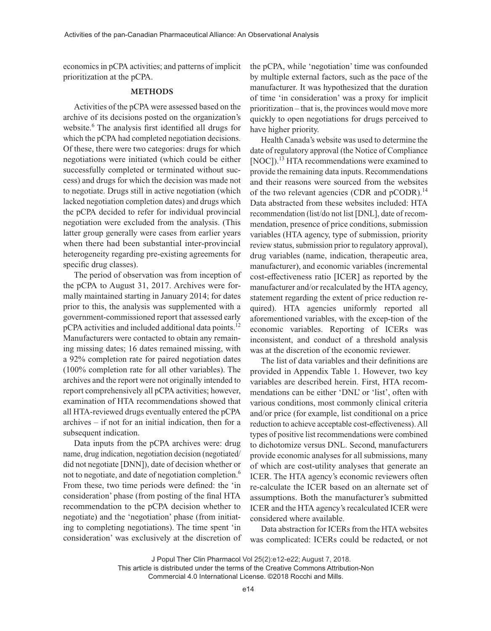economics in pCPA activities; and patterns of implicit prioritization at the pCPA.

#### **METHODS**

Activities of the pCPA were assessed based on the archive of its decisions posted on the organization's website.<sup>6</sup> The analysis first identified all drugs for which the pCPA had completed negotiation decisions. Of these, there were two categories: drugs for which negotiations were initiated (which could be either successfully completed or terminated without success) and drugs for which the decision was made not to negotiate. Drugs still in active negotiation (which lacked negotiation completion dates) and drugs which the pCPA decided to refer for individual provincial negotiation were excluded from the analysis. (This latter group generally were cases from earlier years when there had been substantial inter-provincial heterogeneity regarding pre-existing agreements for specific drug classes).

The period of observation was from inception of the pCPA to August 31, 2017. Archives were formally maintained starting in January 2014; for dates prior to this, the analysis was supplemented with a government-commissioned report that assessed early pCPA activities and included additional data points.<sup>12</sup> Manufacturers were contacted to obtain any remaining missing dates; 16 dates remained missing, with a 92% completion rate for paired negotiation dates (100% completion rate for all other variables). The archives and the report were not originally intended to report comprehensively all pCPA activities; however, examination of HTA recommendations showed that all HTA-reviewed drugs eventually entered the pCPA archives – if not for an initial indication, then for a subsequent indication.

Data inputs from the pCPA archives were: drug name, drug indication, negotiation decision (negotiated/ did not negotiate [DNN]), date of decision whether or not to negotiate, and date of negotiation completion.<sup>6</sup> From these, two time periods were defined: the 'in consideration' phase (from posting of the final HTA recommendation to the pCPA decision whether to negotiate) and the 'negotiation' phase (from initiating to completing negotiations). The time spent 'in consideration' was exclusively at the discretion of the pCPA, while 'negotiation' time was confounded by multiple external factors, such as the pace of the manufacturer. It was hypothesized that the duration of time 'in consideration' was a proxy for implicit prioritization – that is, the provinces would move more quickly to open negotiations for drugs perceived to have higher priority.

Health Canada's website was used to determine the date of regulatory approval (the Notice of Compliance [NOC]).<sup>13</sup> HTA recommendations were examined to provide the remaining data inputs. Recommendations and their reasons were sourced from the websites of the two relevant agencies (CDR and pCODR).<sup>14</sup> Data abstracted from these websites included: HTA recommendation (list/do not list [DNL], date of recommendation, presence of price conditions, submission variables (HTA agency, type of submission, priority review status, submission prior to regulatory approval), drug variables (name, indication, therapeutic area, manufacturer), and economic variables (incremental cost-effectiveness ratio [ICER] as reported by the manufacturer and/or recalculated by the HTA agency, statement regarding the extent of price reduction required). HTA agencies uniformly reported all aforementioned variables, with the excep-tion of the economic variables. Reporting of ICERs was inconsistent, and conduct of a threshold analysis was at the discretion of the economic reviewer.

The list of data variables and their definitions are provided in Appendix Table 1. However, two key variables are described herein. First, HTA recommendations can be either 'DNL' or 'list', often with various conditions, most commonly clinical criteria and/or price (for example, list conditional on a price reduction to achieve acceptable cost-effectiveness). All types of positive list recommendations were combined to dichotomize versus DNL. Second, manufacturers provide economic analyses for all submissions, many of which are cost-utility analyses that generate an ICER. The HTA agency's economic reviewers often re-calculate the ICER based on an alternate set of assumptions. Both the manufacturer's submitted ICER and the HTA agency's recalculated ICER were considered where available.

Data abstraction for ICERs from the HTA websites was complicated: ICERs could be redacted, or not

J Popul Ther Clin Pharmacol Vol 25(2):e12-e22; August 7, 2018.

This article is distributed under the terms of the Creative Commons Attribution-Non Commercial 4.0 International License. ©2018 Rocchi and Mills.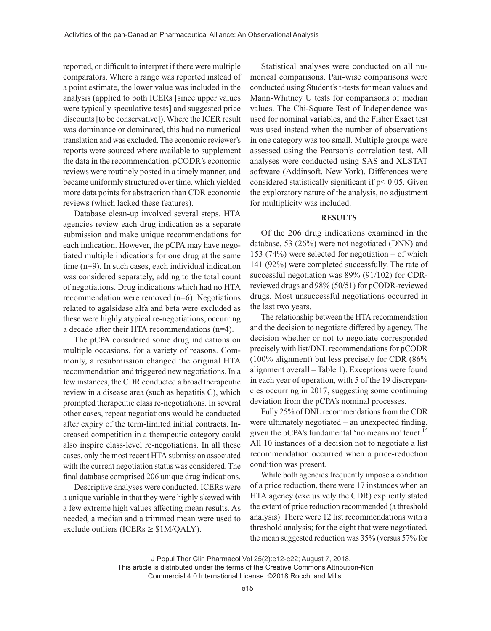reported, or difficult to interpret if there were multiple comparators. Where a range was reported instead of a point estimate, the lower value was included in the analysis (applied to both ICERs [since upper values were typically speculative tests] and suggested price discounts [to be conservative]). Where the ICER result was dominance or dominated, this had no numerical translation and was excluded. The economic reviewer's reports were sourced where available to supplement the data in the recommendation. pCODR's economic reviews were routinely posted in a timely manner, and became uniformly structured over time, which yielded more data points for abstraction than CDR economic reviews (which lacked these features).

Database clean-up involved several steps. HTA agencies review each drug indication as a separate submission and make unique recommendations for each indication. However, the pCPA may have negotiated multiple indications for one drug at the same time (n=9). In such cases, each individual indication was considered separately, adding to the total count of negotiations. Drug indications which had no HTA recommendation were removed (n=6). Negotiations related to agalsidase alfa and beta were excluded as these were highly atypical re-negotiations, occurring a decade after their HTA recommendations (n=4).

The pCPA considered some drug indications on multiple occasions, for a variety of reasons. Commonly, a resubmission changed the original HTA recommendation and triggered new negotiations. In a few instances, the CDR conducted a broad therapeutic review in a disease area (such as hepatitis C), which prompted therapeutic class re-negotiations. In several other cases, repeat negotiations would be conducted after expiry of the term-limited initial contracts. Increased competition in a therapeutic category could also inspire class-level re-negotiations. In all these cases, only the most recent HTA submission associated with the current negotiation status was considered. The final database comprised 206 unique drug indications.

Descriptive analyses were conducted. ICERs were a unique variable in that they were highly skewed with a few extreme high values affecting mean results. As needed, a median and a trimmed mean were used to exclude outliers (ICERs  $\geq$  \$1M/QALY).

Statistical analyses were conducted on all numerical comparisons. Pair-wise comparisons were conducted using Student's t-tests for mean values and Mann-Whitney U tests for comparisons of median values. The Chi-Square Test of Independence was used for nominal variables, and the Fisher Exact test was used instead when the number of observations in one category was too small. Multiple groups were assessed using the Pearson's correlation test. All analyses were conducted using SAS and XLSTAT software (Addinsoft, New York). Differences were considered statistically significant if p< 0.05. Given the exploratory nature of the analysis, no adjustment for multiplicity was included.

#### **RESULTS**

Of the 206 drug indications examined in the database, 53 (26%) were not negotiated (DNN) and 153 (74%) were selected for negotiation – of which 141 (92%) were completed successfully. The rate of successful negotiation was 89% (91/102) for CDRreviewed drugs and 98% (50/51) for pCODR-reviewed drugs. Most unsuccessful negotiations occurred in the last two years.

The relationship between the HTA recommendation and the decision to negotiate differed by agency. The decision whether or not to negotiate corresponded precisely with list/DNL recommendations for pCODR (100% alignment) but less precisely for CDR (86% alignment overall – Table 1). Exceptions were found in each year of operation, with 5 of the 19 discrepancies occurring in 2017, suggesting some continuing deviation from the pCPA's nominal processes.

Fully 25% of DNL recommendations from the CDR were ultimately negotiated – an unexpected finding, given the pCPA's fundamental 'no means no' tenet.<sup>15</sup> All 10 instances of a decision not to negotiate a list recommendation occurred when a price-reduction condition was present.

While both agencies frequently impose a condition of a price reduction, there were 17 instances when an HTA agency (exclusively the CDR) explicitly stated the extent of price reduction recommended (a threshold analysis). There were 12 list recommendations with a threshold analysis; for the eight that were negotiated, the mean suggested reduction was 35% (versus 57% for

J Popul Ther Clin Pharmacol Vol 25(2):e12-e22; August 7, 2018.

This article is distributed under the terms of the Creative Commons Attribution-Non Commercial 4.0 International License. ©2018 Rocchi and Mills.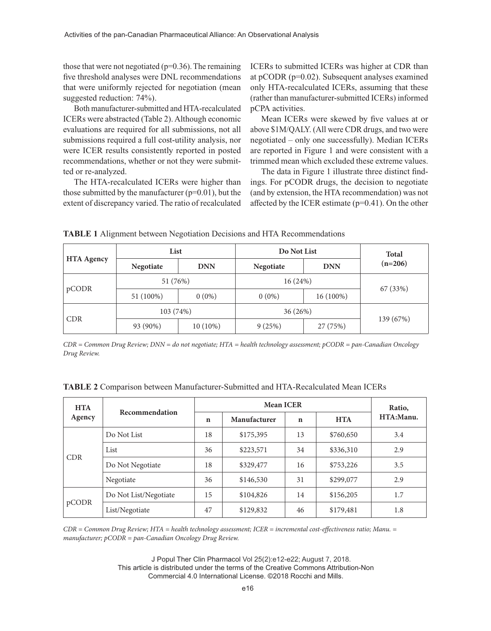those that were not negotiated ( $p=0.36$ ). The remaining five threshold analyses were DNL recommendations that were uniformly rejected for negotiation (mean suggested reduction: 74%).

Both manufacturer-submitted and HTA-recalculated ICERs were abstracted (Table 2). Although economic evaluations are required for all submissions, not all submissions required a full cost-utility analysis, nor were ICER results consistently reported in posted recommendations, whether or not they were submitted or re-analyzed.

The HTA-recalculated ICERs were higher than those submitted by the manufacturer  $(p=0.01)$ , but the extent of discrepancy varied. The ratio of recalculated

ICERs to submitted ICERs was higher at CDR than at pCODR (p=0.02). Subsequent analyses examined only HTA-recalculated ICERs, assuming that these (rather than manufacturer-submitted ICERs) informed pCPA activities.

Mean ICERs were skewed by five values at or above \$1M/QALY. (All were CDR drugs, and two were negotiated – only one successfully). Median ICERs are reported in Figure 1 and were consistent with a trimmed mean which excluded these extreme values.

The data in Figure 1 illustrate three distinct findings. For pCODR drugs, the decision to negotiate (and by extension, the HTA recommendation) was not affected by the ICER estimate (p=0.41). On the other

**TABLE 1** Alignment between Negotiation Decisions and HTA Recommendations

| <b>HTA Agency</b> | List      |            | Do Not List |            | <b>Total</b> |
|-------------------|-----------|------------|-------------|------------|--------------|
|                   | Negotiate | <b>DNN</b> | Negotiate   | <b>DNN</b> | $(n=206)$    |
| pCODR             | 51 (76%)  |            | 16 (24%)    |            |              |
|                   | 51 (100%) | $0(0\%)$   | $0(0\%)$    | 16 (100%)  | 67 (33%)     |
| <b>CDR</b>        | 103 (74%) |            | 36 (26%)    |            |              |
|                   | 93 (90%)  | $10(10\%)$ | 9(25%)      | 27 (75%)   | 139 (67%)    |

*CDR = Common Drug Review; DNN = do not negotiate; HTA = health technology assessment; pCODR = pan-Canadian Oncology Drug Review.*

| <b>HTA</b> | <b>Recommendation</b> | <b>Mean ICER</b> |              |             |            | Ratio,    |
|------------|-----------------------|------------------|--------------|-------------|------------|-----------|
| Agency     |                       | $\mathbf n$      | Manufacturer | $\mathbf n$ | <b>HTA</b> | HTA:Manu. |
| <b>CDR</b> | Do Not List           | 18               | \$175,395    | 13          | \$760,650  | 3.4       |
|            | List                  | 36               | \$223,571    | 34          | \$336,310  | 2.9       |
|            | Do Not Negotiate      | 18               | \$329,477    | 16          | \$753,226  | 3.5       |
|            | Negotiate             | 36               | \$146,530    | 31          | \$299,077  | 2.9       |
| pCODR      | Do Not List/Negotiate | 15               | \$104,826    | 14          | \$156,205  | 1.7       |
|            | List/Negotiate        | 47               | \$129,832    | 46          | \$179,481  | 1.8       |

**TABLE 2** Comparison between Manufacturer-Submitted and HTA-Recalculated Mean ICERs

*CDR = Common Drug Review; HTA = health technology assessment; ICER = incremental cost-effectiveness ratio; Manu. = manufacturer; pCODR = pan-Canadian Oncology Drug Review.*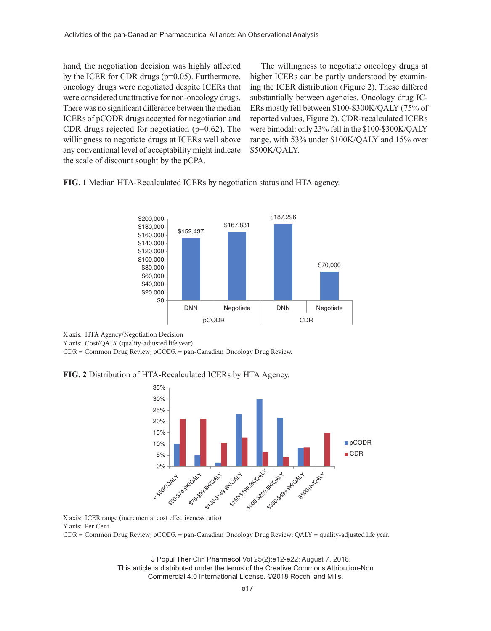hand, the negotiation decision was highly affected by the ICER for CDR drugs (p=0.05). Furthermore, oncology drugs were negotiated despite ICERs that were considered unattractive for non-oncology drugs. There was no significant difference between the median ICERs of pCODR drugs accepted for negotiation and CDR drugs rejected for negotiation  $(p=0.62)$ . The willingness to negotiate drugs at ICERs well above any conventional level of acceptability might indicate the scale of discount sought by the pCPA.

The willingness to negotiate oncology drugs at higher ICERs can be partly understood by examining the ICER distribution (Figure 2). These differed substantially between agencies. Oncology drug IC-ERs mostly fell between \$100-\$300K/QALY (75% of reported values, Figure 2). CDR-recalculated ICERs were bimodal: only 23% fell in the \$100-\$300K/QALY range, with 53% under \$100K/QALY and 15% over \$500K/QALY.

**FIG. 1** Median HTA-Recalculated ICERs by negotiation status and HTA agency.



X axis: HTA Agency/Negotiation Decision

Y axis: Cost/QALY (quality-adjusted life year)

CDR = Common Drug Review; pCODR = pan-Canadian Oncology Drug Review.

**FIG. 2** Distribution of HTA-Recalculated ICERs by HTA Agency.



X axis: ICER range (incremental cost effectiveness ratio) Y axis: Per Cent

CDR = Common Drug Review; pCODR = pan-Canadian Oncology Drug Review; QALY = quality-adjusted life year.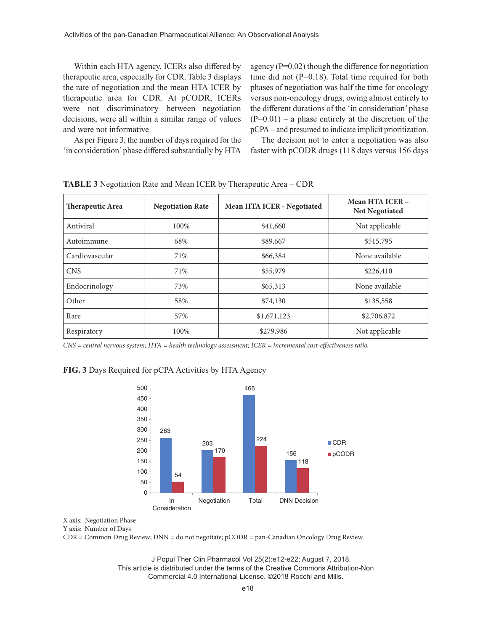Within each HTA agency, ICERs also differed by therapeutic area, especially for CDR. Table 3 displays the rate of negotiation and the mean HTA ICER by therapeutic area for CDR. At pCODR, ICERs were not discriminatory between negotiation decisions, were all within a similar range of values and were not informative.

As per Figure 3, the number of days required for the 'in consideration' phase differed substantially by HTA

agency  $(P=0.02)$  though the difference for negotiation time did not (P=0.18). Total time required for both phases of negotiation was half the time for oncology versus non-oncology drugs, owing almost entirely to the different durations of the 'in consideration' phase  $(P=0.01)$  – a phase entirely at the discretion of the pCPA – and presumed to indicate implicit prioritization.

The decision not to enter a negotiation was also faster with pCODR drugs (118 days versus 156 days

| Therapeutic Area | <b>Negotiation Rate</b> | Mean HTA ICER - Negotiated | Mean HTA ICER -<br><b>Not Negotiated</b> |
|------------------|-------------------------|----------------------------|------------------------------------------|
| Antiviral        | 100%                    | \$41,660                   | Not applicable                           |
| Autoimmune       | 68%                     | \$89,667                   | \$515,795                                |
| Cardiovascular   | 71%                     | \$66,384                   | None available                           |
| <b>CNS</b>       | 71%                     | \$55,979                   | \$226,410                                |
| Endocrinology    | 73%                     | \$65,313                   | None available                           |
| Other            | 58%                     | \$74,130                   | \$135,558                                |
| Rare             | 57%                     | \$1,671,123                | \$2,706,872                              |
| Respiratory      | 100%                    | \$279,986                  | Not applicable                           |

**TABLE 3** Negotiation Rate and Mean ICER by Therapeutic Area – CDR

*CNS = central nervous system; HTA = health technology assessment; ICER = incremental cost-effectiveness ratio.*

### **FIG. 3** Days Required for pCPA Activities by HTA Agency



X axis: Negotiation Phase

Y axis: Number of Days

CDR = Common Drug Review; DNN = do not negotiate; pCODR = pan-Canadian Oncology Drug Review.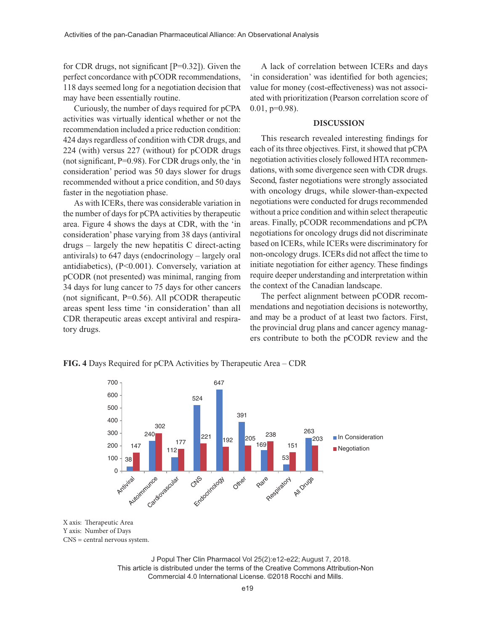for CDR drugs, not significant [P=0.32]). Given the perfect concordance with pCODR recommendations, 118 days seemed long for a negotiation decision that may have been essentially routine.

Curiously, the number of days required for pCPA activities was virtually identical whether or not the recommendation included a price reduction condition: 424 days regardless of condition with CDR drugs, and 224 (with) versus 227 (without) for pCODR drugs (not significant, P=0.98). For CDR drugs only, the 'in consideration' period was 50 days slower for drugs recommended without a price condition, and 50 days faster in the negotiation phase.

As with ICERs, there was considerable variation in the number of days for pCPA activities by therapeutic area. Figure 4 shows the days at CDR, with the 'in consideration' phase varying from 38 days (antiviral drugs – largely the new hepatitis C direct-acting antivirals) to 647 days (endocrinology – largely oral antidiabetics), (P<0.001). Conversely, variation at pCODR (not presented) was minimal, ranging from 34 days for lung cancer to 75 days for other cancers (not significant,  $P=0.56$ ). All pCODR therapeutic areas spent less time 'in consideration' than all CDR therapeutic areas except antiviral and respiratory drugs.

A lack of correlation between ICERs and days 'in consideration' was identified for both agencies; value for money (cost-effectiveness) was not associated with prioritization (Pearson correlation score of  $0.01$ ,  $p=0.98$ ).

#### **DISCUSSION**

This research revealed interesting findings for each of its three objectives. First, it showed that pCPA negotiation activities closely followed HTA recommendations, with some divergence seen with CDR drugs. Second, faster negotiations were strongly associated with oncology drugs, while slower-than-expected negotiations were conducted for drugs recommended without a price condition and within select therapeutic areas. Finally, pCODR recommendations and pCPA negotiations for oncology drugs did not discriminate based on ICERs, while ICERs were discriminatory for non-oncology drugs. ICERs did not affect the time to initiate negotiation for either agency. These findings require deeper understanding and interpretation within the context of the Canadian landscape.

The perfect alignment between pCODR recommendations and negotiation decisions is noteworthy, and may be a product of at least two factors. First, the provincial drug plans and cancer agency managers contribute to both the pCODR review and the



**FIG. 4** Days Required for pCPA Activities by Therapeutic Area – CDR

X axis: Therapeutic Area Y axis: Number of Days CNS = central nervous system.

J Popul Ther Clin Pharmacol Vol 25(2):e12-e22; August 7, 2018. This article is distributed under the terms of the Creative Commons Attribution-Non Commercial 4.0 International License. ©2018 Rocchi and Mills.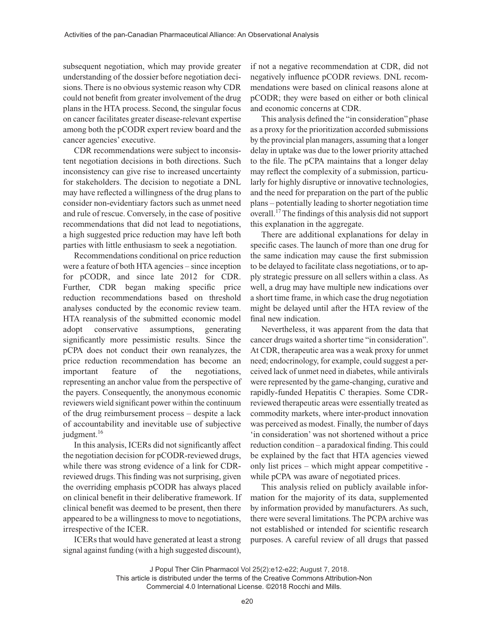subsequent negotiation, which may provide greater understanding of the dossier before negotiation decisions. There is no obvious systemic reason why CDR could not benefit from greater involvement of the drug plans in the HTA process. Second, the singular focus on cancer facilitates greater disease-relevant expertise among both the pCODR expert review board and the cancer agencies' executive.

CDR recommendations were subject to inconsistent negotiation decisions in both directions. Such inconsistency can give rise to increased uncertainty for stakeholders. The decision to negotiate a DNL may have reflected a willingness of the drug plans to consider non-evidentiary factors such as unmet need and rule of rescue. Conversely, in the case of positive recommendations that did not lead to negotiations, a high suggested price reduction may have left both parties with little enthusiasm to seek a negotiation.

Recommendations conditional on price reduction were a feature of both HTA agencies – since inception for pCODR, and since late 2012 for CDR. Further, CDR began making specific price reduction recommendations based on threshold analyses conducted by the economic review team. HTA reanalysis of the submitted economic model adopt conservative assumptions, generating significantly more pessimistic results. Since the pCPA does not conduct their own reanalyzes, the price reduction recommendation has become an important feature of the negotiations, representing an anchor value from the perspective of the payers. Consequently, the anonymous economic reviewers wield significant power within the continuum of the drug reimbursement process – despite a lack of accountability and inevitable use of subjective judgment.<sup>16</sup>

In this analysis, ICERs did not significantly affect the negotiation decision for pCODR-reviewed drugs, while there was strong evidence of a link for CDRreviewed drugs. This finding was not surprising, given the overriding emphasis pCODR has always placed on clinical benefit in their deliberative framework. If clinical benefit was deemed to be present, then there appeared to be a willingness to move to negotiations, irrespective of the ICER.

ICERs that would have generated at least a strong signal against funding (with a high suggested discount),

if not a negative recommendation at CDR, did not negatively influence pCODR reviews. DNL recommendations were based on clinical reasons alone at pCODR; they were based on either or both clinical and economic concerns at CDR.

This analysis defined the "in consideration" phase as a proxy for the prioritization accorded submissions by the provincial plan managers, assuming that a longer delay in uptake was due to the lower priority attached to the file. The pCPA maintains that a longer delay may reflect the complexity of a submission, particularly for highly disruptive or innovative technologies, and the need for preparation on the part of the public plans – potentially leading to shorter negotiation time overall.17 The findings of this analysis did not support this explanation in the aggregate.

There are additional explanations for delay in specific cases. The launch of more than one drug for the same indication may cause the first submission to be delayed to facilitate class negotiations, or to apply strategic pressure on all sellers within a class. As well, a drug may have multiple new indications over a short time frame, in which case the drug negotiation might be delayed until after the HTA review of the final new indication.

Nevertheless, it was apparent from the data that cancer drugs waited a shorter time "in consideration". At CDR, therapeutic area was a weak proxy for unmet need; endocrinology, for example, could suggest a perceived lack of unmet need in diabetes, while antivirals were represented by the game-changing, curative and rapidly-funded Hepatitis C therapies. Some CDRreviewed therapeutic areas were essentially treated as commodity markets, where inter-product innovation was perceived as modest. Finally, the number of days 'in consideration' was not shortened without a price reduction condition – a paradoxical finding. This could be explained by the fact that HTA agencies viewed only list prices – which might appear competitive while pCPA was aware of negotiated prices.

This analysis relied on publicly available information for the majority of its data, supplemented by information provided by manufacturers. As such, there were several limitations. The PCPA archive was not established or intended for scientific research purposes. A careful review of all drugs that passed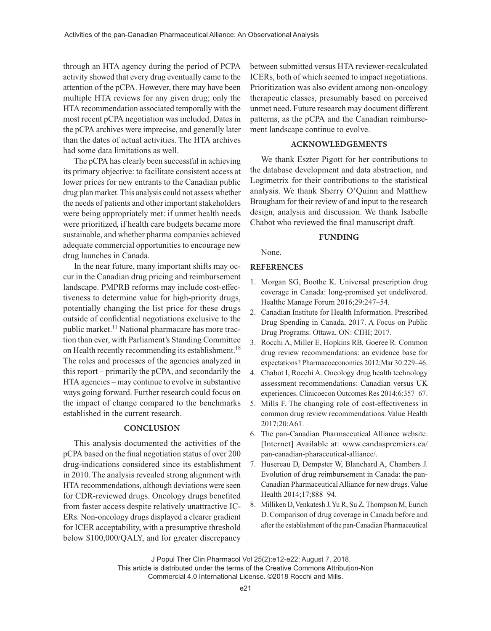through an HTA agency during the period of PCPA activity showed that every drug eventually came to the attention of the pCPA. However, there may have been multiple HTA reviews for any given drug; only the HTA recommendation associated temporally with the most recent pCPA negotiation was included. Dates in the pCPA archives were imprecise, and generally later than the dates of actual activities. The HTA archives had some data limitations as well.

The pCPA has clearly been successful in achieving its primary objective: to facilitate consistent access at lower prices for new entrants to the Canadian public drug plan market. This analysis could not assess whether the needs of patients and other important stakeholders were being appropriately met: if unmet health needs were prioritized, if health care budgets became more sustainable, and whether pharma companies achieved adequate commercial opportunities to encourage new drug launches in Canada.

In the near future, many important shifts may occur in the Canadian drug pricing and reimbursement landscape. PMPRB reforms may include cost-effectiveness to determine value for high-priority drugs, potentially changing the list price for these drugs outside of confidential negotiations exclusive to the public market.<sup>11</sup> National pharmacare has more traction than ever, with Parliament's Standing Committee on Health recently recommending its establishment.<sup>18</sup> The roles and processes of the agencies analyzed in this report – primarily the pCPA, and secondarily the HTA agencies – may continue to evolve in substantive ways going forward. Further research could focus on the impact of change compared to the benchmarks established in the current research.

#### **CONCLUSION**

This analysis documented the activities of the pCPA based on the final negotiation status of over 200 drug-indications considered since its establishment in 2010. The analysis revealed strong alignment with HTA recommendations, although deviations were seen for CDR-reviewed drugs. Oncology drugs benefited from faster access despite relatively unattractive IC-ERs. Non-oncology drugs displayed a clearer gradient for ICER acceptability, with a presumptive threshold below \$100,000/QALY, and for greater discrepancy

between submitted versus HTA reviewer-recalculated ICERs, both of which seemed to impact negotiations. Prioritization was also evident among non-oncology therapeutic classes, presumably based on perceived unmet need. Future research may document different patterns, as the pCPA and the Canadian reimbursement landscape continue to evolve.

#### **ACKNOWLEDGEMENTS**

We thank Eszter Pigott for her contributions to the database development and data abstraction, and Logimetrix for their contributions to the statistical analysis. We thank Sherry O'Quinn and Matthew Brougham for their review of and input to the research design, analysis and discussion. We thank Isabelle Chabot who reviewed the final manuscript draft.

#### **FUNDING**

None.

#### **REFERENCES**

- 1. Morgan SG, Boothe K. Universal prescription drug coverage in Canada: long-promised yet undelivered. Healthc Manage Forum 2016;29:247–54.
- 2. Canadian Institute for Health Information. Prescribed Drug Spending in Canada, 2017. A Focus on Public Drug Programs. Ottawa, ON: CIHI; 2017.
- 3. Rocchi A, Miller E, Hopkins RB, Goeree R. Common drug review recommendations: an evidence base for expectations? Pharmacoeconomics 2012;Mar 30:229–46.
- 4. Chabot I, Rocchi A. Oncology drug health technology assessment recommendations: Canadian versus UK experiences. Clinicoecon Outcomes Res 2014;6:357–67.
- 5. Mills F. The changing role of cost-effectiveness in common drug review recommendations. Value Health 2017;20:A61.
- 6. The pan-Canadian Pharmaceutical Alliance website. [Internet] Available at: www.candaspremiers.ca/ pan-canadian-pharaceutical-alliance/.
- 7. Husereau D, Dempster W, Blanchard A, Chambers J. Evolution of drug reimbursement in Canada: the pan-Canadian Pharmaceutical Alliance for new drugs. Value Health 2014;17;888–94.
- 8. Milliken D, Venkatesh J, Yu R, Su Z, Thompson M, Eurich D. Comparison of drug coverage in Canada before and after the establishment of the pan-Canadian Pharmaceutical

This article is distributed under the terms of the Creative Commons Attribution-Non Commercial 4.0 International License. ©2018 Rocchi and Mills.

J Popul Ther Clin Pharmacol Vol 25(2):e12-e22; August 7, 2018.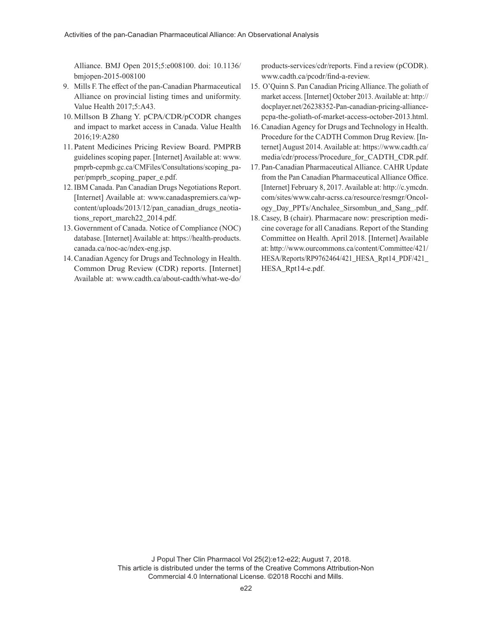Alliance. BMJ Open 2015;5:e008100. doi: 10.1136/ bmjopen-2015-008100

- 9. Mills F. The effect of the pan-Canadian Pharmaceutical Alliance on provincial listing times and uniformity. Value Health 2017;5:A43.
- 10.Millson B Zhang Y. pCPA/CDR/pCODR changes and impact to market access in Canada. Value Health 2016;19:A280
- 11. Patent Medicines Pricing Review Board. PMPRB guidelines scoping paper. [Internet] Available at: www. pmprb-cepmb.gc.ca/CMFiles/Consultations/scoping\_paper/pmprb\_scoping\_paper\_e.pdf.
- 12.IBM Canada. Pan Canadian Drugs Negotiations Report. [Internet] Available at: www.canadaspremiers.ca/wpcontent/uploads/2013/12/pan\_canadian\_drugs\_neotiations report march22 2014.pdf.
- 13. Government of Canada. Notice of Compliance (NOC) database. [Internet] Available at: https://health-products. canada.ca/noc-ac/ndex-eng.jsp.
- 14.Canadian Agency for Drugs and Technology in Health. Common Drug Review (CDR) reports. [Internet] Available at: www.cadth.ca/about-cadth/what-we-do/

products-services/cdr/reports. Find a review (pCODR). www.cadth.ca/pcodr/find-a-review.

- 15. O'Quinn S. Pan Canadian Pricing Alliance. The goliath of market access. [Internet] October 2013. Available at: http:// docplayer.net/26238352-Pan-canadian-pricing-alliancepcpa-the-goliath-of-market-access-october-2013.html.
- 16.Canadian Agency for Drugs and Technology in Health. Procedure for the CADTH Common Drug Review. [Internet] August 2014. Available at: https://www.cadth.ca/ media/cdr/process/Procedure\_for\_CADTH\_CDR.pdf.
- 17. Pan-Canadian Pharmaceutical Alliance. CAHR Update from the Pan Canadian Pharmaceutical Alliance Office. [Internet] February 8, 2017. Available at: http://c.ymcdn. com/sites/www.cahr-acrss.ca/resource/resmgr/Oncology\_Day\_PPTs/Anchalee\_Sirsombun\_and\_Sang\_.pdf.
- 18.Casey, B (chair). Pharmacare now: prescription medicine coverage for all Canadians. Report of the Standing Committee on Health. April 2018. [Internet] Available at: http://www.ourcommons.ca/content/Committee/421/ HESA/Reports/RP9762464/421\_HESA\_Rpt14\_PDF/421\_ HESA\_Rpt14-e.pdf.